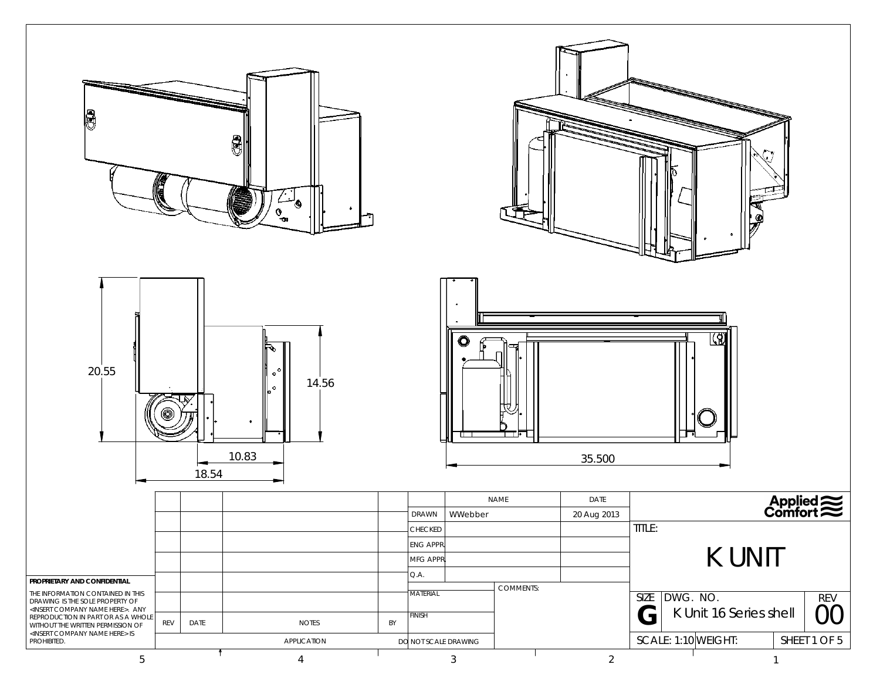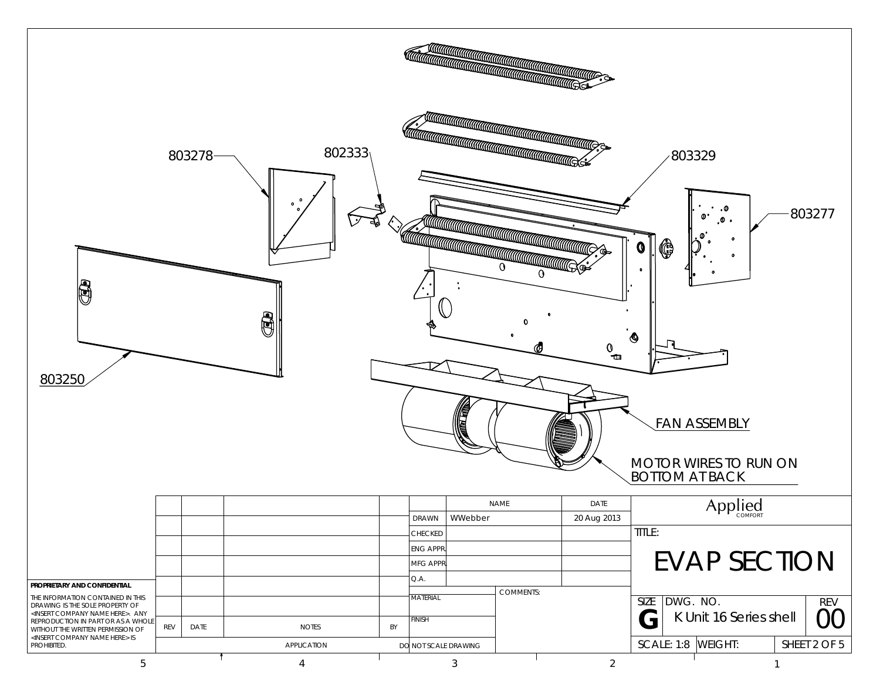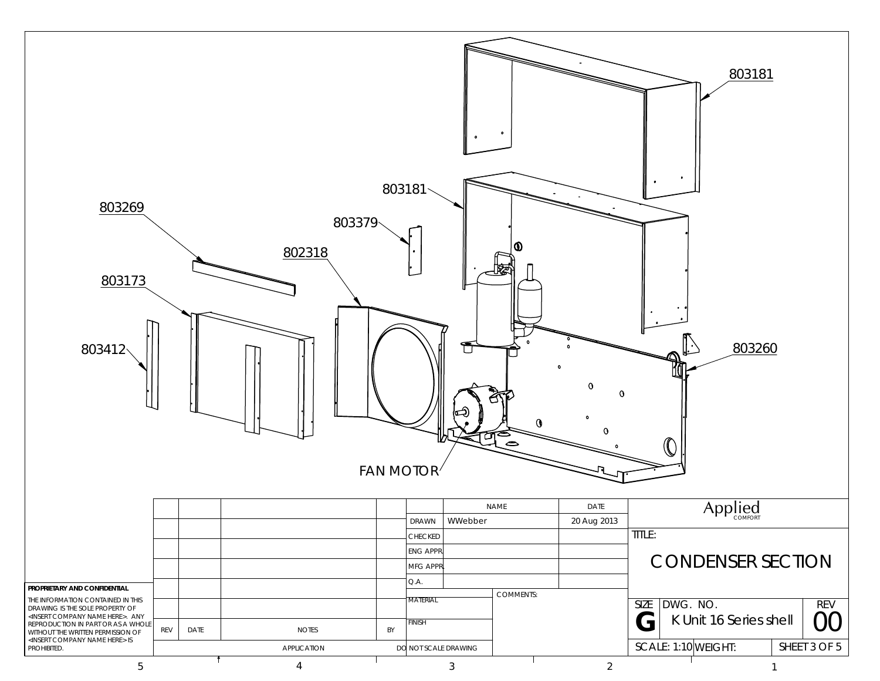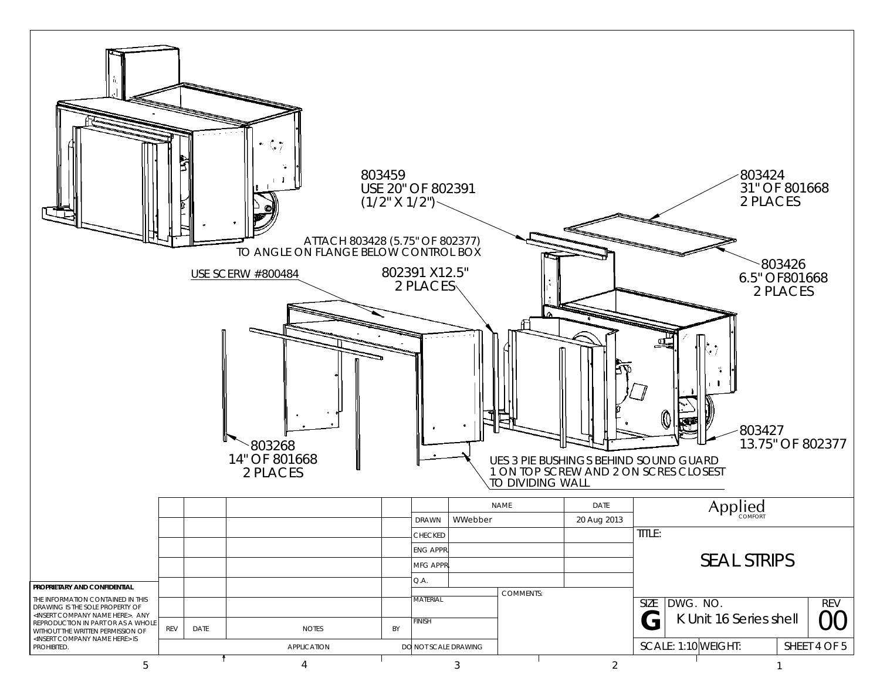